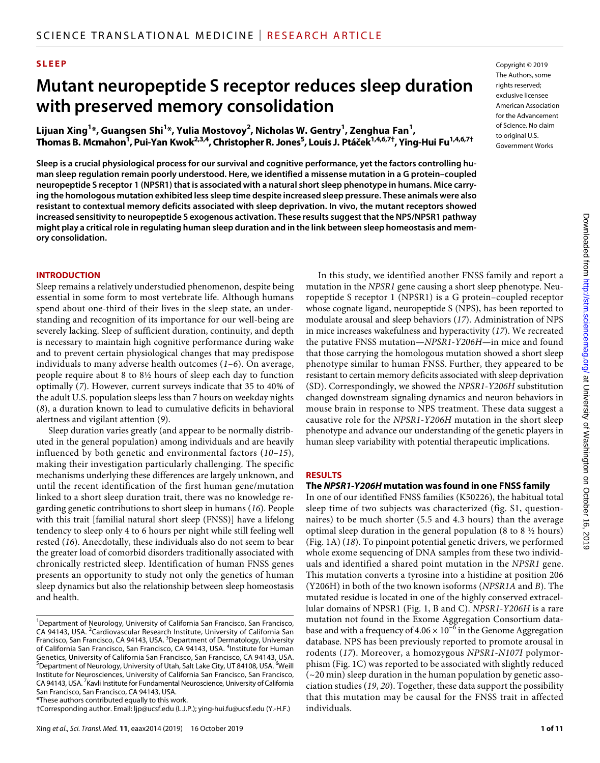#### **SLEEP**

# **Mutant neuropeptide S receptor reduces sleep duration with preserved memory consolidation**

**Lijuan Xing1 \*, Guangsen Shi1 \*, Yulia Mostovoy2 , Nicholas W. Gentry1 , Zenghua Fan1 , Thomas B. Mcmahon1 , Pui-Yan Kwok2,3,4, Christopher R. Jones5 , Louis J. Ptáček1,4,6,7†, Ying-Hui Fu1,4,6,7†**

**Sleep is a crucial physiological process for our survival and cognitive performance, yet the factors controlling human sleep regulation remain poorly understood. Here, we identified a missense mutation in a G protein–coupled neuropeptide S receptor 1 (NPSR1) that is associated with a natural short sleep phenotype in humans. Mice carrying the homologous mutation exhibited less sleep time despite increased sleep pressure. These animals were also resistant to contextual memory deficits associated with sleep deprivation. In vivo, the mutant receptors showed increased sensitivity to neuropeptide S exogenous activation. These results suggest that the NPS/NPSR1 pathway might play a critical role in regulating human sleep duration and in the link between sleep homeostasis and memory consolidation.**

**INTRODUCTION**

Sleep remains a relatively understudied phenomenon, despite being essential in some form to most vertebrate life. Although humans spend about one-third of their lives in the sleep state, an understanding and recognition of its importance for our well-being are severely lacking. Sleep of sufficient duration, continuity, and depth is necessary to maintain high cognitive performance during wake and to prevent certain physiological changes that may predispose individuals to many adverse health outcomes (*1*–*6*). On average, people require about 8 to 8½ hours of sleep each day to function optimally (*7*). However, current surveys indicate that 35 to 40% of the adult U.S. population sleeps less than 7 hours on weekday nights (*8*), a duration known to lead to cumulative deficits in behavioral alertness and vigilant attention (*9*).

Sleep duration varies greatly (and appear to be normally distributed in the general population) among individuals and are heavily influenced by both genetic and environmental factors (*10*–*15*), making their investigation particularly challenging. The specific mechanisms underlying these differences are largely unknown, and until the recent identification of the first human gene/mutation linked to a short sleep duration trait, there was no knowledge regarding genetic contributions to short sleep in humans (*16*). People with this trait [familial natural short sleep (FNSS)] have a lifelong tendency to sleep only 4 to 6 hours per night while still feeling well rested (*16*). Anecdotally, these individuals also do not seem to bear the greater load of comorbid disorders traditionally associated with chronically restricted sleep. Identification of human FNSS genes presents an opportunity to study not only the genetics of human sleep dynamics but also the relationship between sleep homeostasis and health.

In this study, we identified another FNSS family and report a mutation in the *NPSR1* gene causing a short sleep phenotype. Neuropeptide S receptor 1 (NPSR1) is a G protein–coupled receptor whose cognate ligand, neuropeptide S (NPS), has been reported to modulate arousal and sleep behaviors (*17*). Administration of NPS in mice increases wakefulness and hyperactivity (*17*). We recreated the putative FNSS mutation—*NPSR1-Y206H—*in mice and found that those carrying the homologous mutation showed a short sleep phenotype similar to human FNSS. Further, they appeared to be resistant to certain memory deficits associated with sleep deprivation (SD). Correspondingly, we showed the *NPSR1-Y206H* substitution changed downstream signaling dynamics and neuron behaviors in mouse brain in response to NPS treatment. These data suggest a causative role for the *NPSR1-Y206H* mutation in the short sleep

Copyright © 2019 The Authors, some rights reserved: exclusive licensee American Association for the Advancement of Science. No claim to original U.S. Government Works

#### **RESULTS**

#### **The** *NPSR1-Y206H* **mutation was found in one FNSS family**

phenotype and advance our understanding of the genetic players in human sleep variability with potential therapeutic implications.

In one of our identified FNSS families (K50226), the habitual total sleep time of two subjects was characterized (fig. S1, questionnaires) to be much shorter (5.5 and 4.3 hours) than the average optimal sleep duration in the general population (8 to 8  $\frac{1}{2}$  hours) (Fig. 1A) (*18*). To pinpoint potential genetic drivers, we performed whole exome sequencing of DNA samples from these two individuals and identified a shared point mutation in the *NPSR1* gene. This mutation converts a tyrosine into a histidine at position 206 (Y206H) in both of the two known isoforms (*NPSR1A* and *B*). The mutated residue is located in one of the highly conserved extracellular domains of NPSR1 (Fig. 1, B and C). *NPSR1-Y206H* is a rare mutation not found in the Exome Aggregation Consortium database and with a frequency of  $4.06 \times 10^{-6}$  in the Genome Aggregation database. NPS has been previously reported to promote arousal in rodents (*17*). Moreover, a homozygous *NPSR1-N107I* polymorphism (Fig. 1C) was reported to be associated with slightly reduced  $\sim$  20 min) sleep duration in the human population by genetic association studies (*19*, *20*). Together, these data support the possibility that this mutation may be causal for the FNSS trait in affected individuals.

<sup>&</sup>lt;sup>1</sup>Department of Neurology, University of California San Francisco, San Francisco, CA 94143, USA. <sup>2</sup> Cardiovascular Research Institute, University of California San Francisco, San Francisco, CA 94143, USA. <sup>3</sup>Department of Dermatology, University of California San Francisco, San Francisco, CA 94143, USA. <sup>4</sup>Institute for Human Genetics, University of California San Francisco, San Francisco, CA 94143, USA. <sup>5</sup>Department of Neurology, University of Utah, Salt Lake City, UT 84108, USA. <sup>6</sup>Weill Institute for Neurosciences, University of California San Francisco, San Francisco, CA 94143, USA. <sup>7</sup> Kavli Institute for Fundamental Neuroscience, University of California San Francisco, San Francisco, CA 94143, USA.

<sup>\*</sup>These authors contributed equally to this work.

<sup>†</sup>Corresponding author. Email: ljp@ucsf.edu (L.J.P.); ying-hui.fu@ucsf.edu (Y.-H.F.)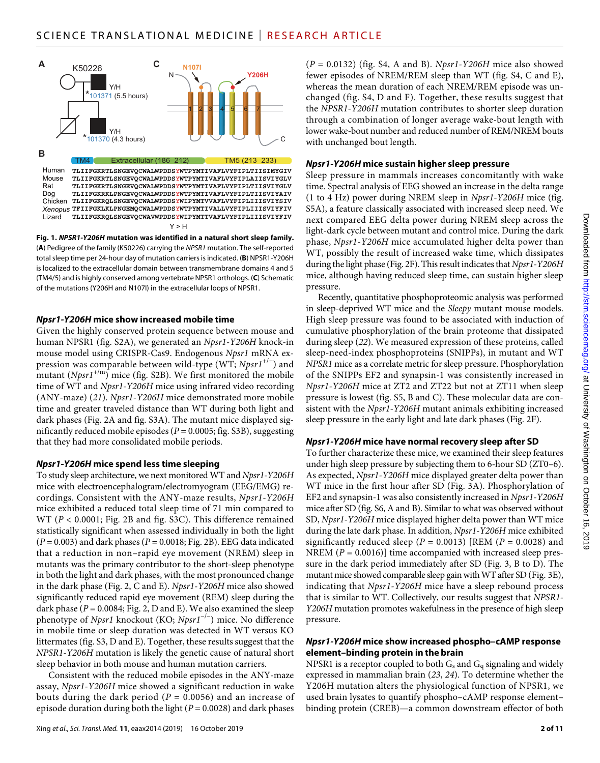

**Fig. 1.** *NPSR1-Y206H* **mutation was identified in a natural short sleep family.** (**A**) Pedigree of the family (K50226) carrying the *NPSR1* mutation. The self-reported total sleep time per 24-hour day of mutation carriers is indicated. (**B**) NPSR1-Y206H is localized to the extracellular domain between transmembrane domains 4 and 5 (TM4/5) and is highly conserved among vertebrate NPSR1 orthologs. (**C**) Schematic of the mutations (Y206H and N107I) in the extracellular loops of NPSR1.

#### *Npsr1-Y206H* **mice show increased mobile time**

Given the highly conserved protein sequence between mouse and human NPSR1 (fig. S2A), we generated an *Npsr1-Y206H* knock-in mouse model using CRISPR-Cas9. Endogenous *Npsr1* mRNA expression was comparable between wild-type (WT; *Npsr1*+/+) and mutant (*Npsr1*+/m) mice (fig. S2B). We first monitored the mobile time of WT and *Npsr1-Y206H* mice using infrared video recording (ANY-maze) (*21*). *Npsr1-Y206H* mice demonstrated more mobile time and greater traveled distance than WT during both light and dark phases (Fig. 2A and fig. S3A). The mutant mice displayed significantly reduced mobile episodes (*P* = 0.0005; fig. S3B), suggesting that they had more consolidated mobile periods.

#### *Npsr1-Y206H* **mice spend less time sleeping**

To study sleep architecture, we next monitored WT and *Npsr1-Y206H* mice with electroencephalogram/electromyogram (EEG/EMG) recordings. Consistent with the ANY-maze results, *Npsr1-Y206H* mice exhibited a reduced total sleep time of 71 min compared to WT (*P* < 0.0001; Fig. 2B and fig. S3C). This difference remained statistically significant when assessed individually in both the light (*P* = 0.003) and dark phases (*P* = 0.0018; Fig. 2B). EEG data indicated that a reduction in non–rapid eye movement (NREM) sleep in mutants was the primary contributor to the short-sleep phenotype in both the light and dark phases, with the most pronounced change in the dark phase (Fig. 2, C and E). *Npsr1-Y206H* mice also showed significantly reduced rapid eye movement (REM) sleep during the dark phase ( $P = 0.0084$ ; Fig. 2, D and E). We also examined the sleep phenotype of *Npsr1* knockout (KO; *Npsr1*−/−) mice. No difference in mobile time or sleep duration was detected in WT versus KO littermates (fig. S3, D and E). Together, these results suggest that the *NPSR1-Y206H* mutation is likely the genetic cause of natural short sleep behavior in both mouse and human mutation carriers.

Consistent with the reduced mobile episodes in the ANY-maze assay, *Npsr1-Y206H* mice showed a significant reduction in wake bouts during the dark period (*P* = 0.0056) and an increase of episode duration during both the light (*P* = 0.0028) and dark phases

(*P* = 0.0132) (fig. S4, A and B). *Npsr1-Y206H* mice also showed fewer episodes of NREM/REM sleep than WT (fig. S4, C and E), whereas the mean duration of each NREM/REM episode was unchanged (fig. S4, D and F). Together, these results suggest that the *NPSR1-Y206H* mutation contributes to shorter sleep duration through a combination of longer average wake-bout length with lower wake-bout number and reduced number of REM/NREM bouts with unchanged bout length.

#### *Npsr1-Y206H* **mice sustain higher sleep pressure**

Sleep pressure in mammals increases concomitantly with wake time. Spectral analysis of EEG showed an increase in the delta range (1 to 4 Hz) power during NREM sleep in *Npsr1-Y206H* mice (fig. S5A), a feature classically associated with increased sleep need. We next compared EEG delta power during NREM sleep across the light-dark cycle between mutant and control mice. During the dark phase, *Npsr1*-*Y206H* mice accumulated higher delta power than WT, possibly the result of increased wake time, which dissipates during the light phase (Fig. 2F). This result indicates that *Npsr1-Y206H* mice, although having reduced sleep time, can sustain higher sleep pressure.

Recently, quantitative phosphoproteomic analysis was performed in sleep-deprived WT mice and the *Sleepy* mutant mouse models. High sleep pressure was found to be associated with induction of cumulative phosphorylation of the brain proteome that dissipated during sleep (*22*). We measured expression of these proteins, called sleep-need-index phosphoproteins (SNIPPs), in mutant and WT *NPSR1* mice as a correlate metric for sleep pressure. Phosphorylation of the SNIPPs EF2 and synapsin-1 was consistently increased in *Npsr1-Y206H* mice at ZT2 and ZT22 but not at ZT11 when sleep pressure is lowest (fig. S5, B and C). These molecular data are consistent with the *Npsr1-Y206H* mutant animals exhibiting increased sleep pressure in the early light and late dark phases (Fig. 2F).

## *Npsr1-Y206H* **mice have normal recovery sleep after SD**

To further characterize these mice, we examined their sleep features under high sleep pressure by subjecting them to 6-hour SD (ZT0–6). As expected, *Npsr1-Y206H* mice displayed greater delta power than WT mice in the first hour after SD (Fig. 3A). Phosphorylation of EF2 and synapsin-1 was also consistently increased in *Npsr1-Y206H* mice after SD (fig. S6, A and B). Similar to what was observed without SD, *Npsr1-Y206H* mice displayed higher delta power than WT mice during the late dark phase. In addition, *Npsr1-Y206H* mice exhibited significantly reduced sleep  $(P = 0.0013)$  [REM  $(P = 0.0028)$  and NREM  $(P = 0.0016)$ ] time accompanied with increased sleep pressure in the dark period immediately after SD (Fig. 3, B to D). The mutant mice showed comparable sleep gain with WT after SD (Fig. 3E), indicating that *Npsr1-Y206H* mice have a sleep rebound process that is similar to WT. Collectively, our results suggest that *NPSR1- Y206H* mutation promotes wakefulness in the presence of high sleep pressure.

#### *Npsr1-Y206H* **mice show increased phospho–cAMP response element–binding protein in the brain**

NPSR1 is a receptor coupled to both  $G_s$  and  $G_q$  signaling and widely expressed in mammalian brain (*23*, *24*). To determine whether the Y206H mutation alters the physiological function of NPSR1, we used brain lysates to quantify phospho–cAMP response element– binding protein (CREB)—a common downstream effector of both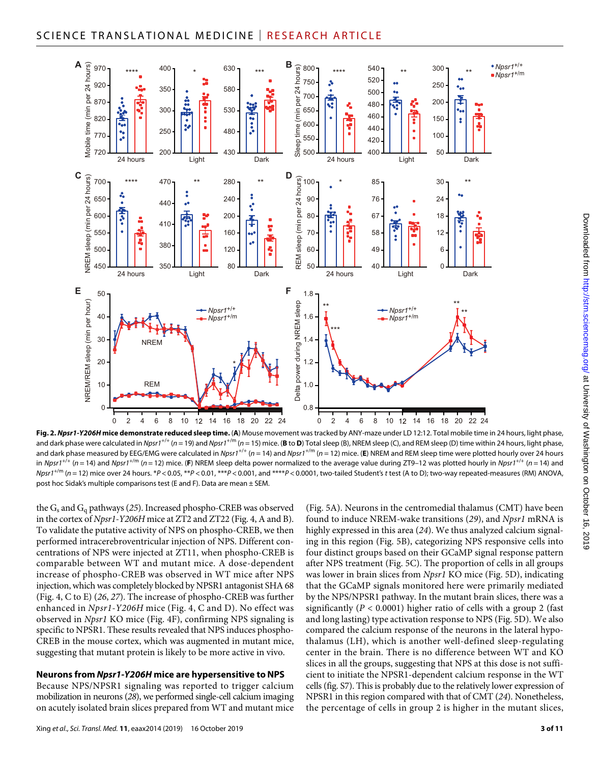

**Fig. 2.** *Npsr1-Y206H* **mice demonstrate reduced sleep time.** (**A**) Mouse movement was tracked by ANY-maze under LD 12:12. Total mobile time in 24 hours, light phase, and dark phase were calculated in *Npsr1<sup>+/+</sup>* (*n* = 19) and *Npsr1<sup>+/m</sup>* (*n* = 15) mice. (**B** to **D**) Total sleep (B), NREM sleep (C), and REM sleep (D) time within 24 hours, light phase, and dark phase measured by EEG/EMG were calculated in *Npsr1<sup>+/+</sup> (n* = 14) and *Npsr1<sup>+/m</sup> (n* = 12) mice. (**E**) NREM and REM sleep time were plotted hourly over 24 hours in *Npsr1*+/+ (*n* = 14) and *Npsr1*+/m (*n* = 12) mice. (**F**) NREM sleep delta power normalized to the average value during ZT9–12 was plotted hourly in *Npsr1*+/+ (*n* = 14) and *Npsr1*+/m (*n* = 12) mice over 24 hours. \**P* < 0.05, \*\**P* < 0.01, \*\*\**P* < 0.001, and \*\*\*\**P* < 0.0001, two-tailed Student's *t* test (A to D); two-way repeated-measures (RM) ANOVA, post hoc Sidak's multiple comparisons test (E and F). Data are mean ± SEM.

the Gs and Gq pathways (*25*). Increased phospho-CREB was observed in the cortex of *Npsr1-Y206H* mice at ZT2 and ZT22 (Fig. 4, A and B). To validate the putative activity of NPS on phospho-CREB, we then performed intracerebroventricular injection of NPS. Different concentrations of NPS were injected at ZT11, when phospho-CREB is comparable between WT and mutant mice. A dose-dependent increase of phospho-CREB was observed in WT mice after NPS injection, which was completely blocked by NPSR1 antagonist SHA 68 (Fig. 4, C to E) (*26*, *27*). The increase of phospho-CREB was further enhanced in *Npsr1-Y206H* mice (Fig. 4, C and D). No effect was observed in *Npsr1* KO mice (Fig. 4F), confirming NPS signaling is specific to NPSR1. These results revealed that NPS induces phospho-CREB in the mouse cortex, which was augmented in mutant mice, suggesting that mutant protein is likely to be more active in vivo.

#### **Neurons from** *Npsr1-Y206H* mice are hypersensitive to NPS

Because NPS/NPSR1 signaling was reported to trigger calcium mobilization in neurons (*28*), we performed single-cell calcium imaging on acutely isolated brain slices prepared from WT and mutant mice

found to induce NREM-wake transitions (*29*), and *Npsr1* mRNA is highly expressed in this area (*24*). We thus analyzed calcium signaling in this region (Fig. 5B), categorizing NPS responsive cells into four distinct groups based on their GCaMP signal response pattern after NPS treatment (Fig. 5C). The proportion of cells in all groups was lower in brain slices from *Npsr1* KO mice (Fig. 5D), indicating that the GCaMP signals monitored here were primarily mediated by the NPS/NPSR1 pathway. In the mutant brain slices, there was a significantly  $(P < 0.0001)$  higher ratio of cells with a group 2 (fast and long lasting) type activation response to NPS (Fig. 5D). We also compared the calcium response of the neurons in the lateral hypothalamus (LH), which is another well-defined sleep-regulating center in the brain. There is no difference between WT and KO slices in all the groups, suggesting that NPS at this dose is not sufficient to initiate the NPSR1-dependent calcium response in the WT cells (fig. S7). This is probably due to the relatively lower expression of NPSR1 in this region compared with that of CMT (*24*). Nonetheless, the percentage of cells in group 2 is higher in the mutant slices,

(Fig. 5A). Neurons in the centromedial thalamus (CMT) have been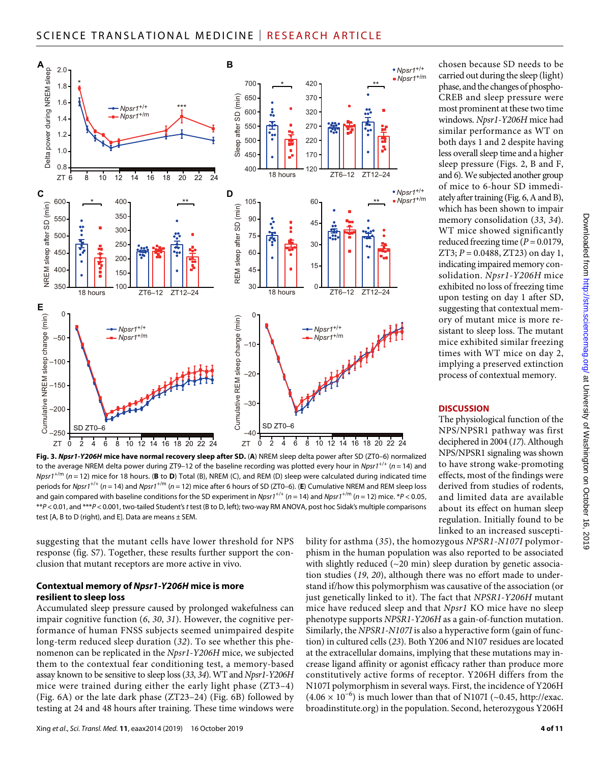# SCIENCE TRANSLATIONAL MEDICINE | RESEARCH ARTICLE



**Fig. 3.** *Npsr1-Y206H* **mice have normal recovery sleep after SD.** (**A**) NREM sleep delta power after SD (ZT0–6) normalized to the average NREM delta power during ZT9–12 of the baseline recording was plotted every hour in *Npsr1<sup>+/+</sup>* (*n* = 14) and *Npsr1*+/m (*n* = 12) mice for 18 hours. (**B** to **D**) Total (B), NREM (C), and REM (D) sleep were calculated during indicated time periods for *Npsr1*+/+ (*n* = 14) and *Npsr1*+/m (*n* = 12) mice after 6 hours of SD (ZT0–6). (**E**) Cumulative NREM and REM sleep loss and gain compared with baseline conditions for the SD experiment in  $Npsr1^{+/+}$  ( $n = 14$ ) and  $Npsr1^{+/m}$  ( $n = 12$ ) mice. \**P* < 0.05, \*\**P* < 0.01, and \*\*\**P* < 0.001, two-tailed Student's *t* test (B to D, left); two-way RM ANOVA, post hoc Sidak's multiple comparisons test [A, B to D (right), and E]. Data are means  $\pm$  SEM.

suggesting that the mutant cells have lower threshold for NPS response (fig. S7). Together, these results further support the conclusion that mutant receptors are more active in vivo.

#### **Contextual memory of** *Npsr1-Y206H* **mice is more resilient to sleep loss**

Accumulated sleep pressure caused by prolonged wakefulness can impair cognitive function (*6*, *30*, *31*). However, the cognitive performance of human FNSS subjects seemed unimpaired despite long-term reduced sleep duration (*32*). To see whether this phenomenon can be replicated in the *Npsr1-Y206H* mice, we subjected them to the contextual fear conditioning test, a memory-based assay known to be sensitive to sleep loss (*33*, *34*). WT and *Npsr1-Y206H* mice were trained during either the early light phase (ZT3–4) (Fig. 6A) or the late dark phase (ZT23–24) (Fig. 6B) followed by testing at 24 and 48 hours after training. These time windows were chosen because SD needs to be carried out during the sleep (light) phase, and the changes of phospho-CREB and sleep pressure were most prominent at these two time windows. *Npsr1-Y206H* mice had similar performance as WT on both days 1 and 2 despite having less overall sleep time and a higher sleep pressure (Figs. 2, B and F, and 6). We subjected another group of mice to 6-hour SD immediately after training (Fig. 6, A and B), which has been shown to impair memory consolidation (*33*, *34*). WT mice showed significantly reduced freezing time  $(P = 0.0179)$ , ZT3; *P* = 0.0488, ZT23) on day 1, indicating impaired memory consolidation. *Npsr1-Y206H* mice exhibited no loss of freezing time upon testing on day 1 after SD, suggesting that contextual memory of mutant mice is more resistant to sleep loss. The mutant mice exhibited similar freezing times with WT mice on day 2, implying a preserved extinction process of contextual memory.

#### **DISCUSSION**

The physiological function of the NPS/NPSR1 pathway was first deciphered in 2004 (*17*). Although NPS/NPSR1 signaling was shown to have strong wake-promoting effects, most of the findings were derived from studies of rodents, and limited data are available about its effect on human sleep regulation. Initially found to be linked to an increased suscepti-

bility for asthma (*35*), the homozygous *NPSR1-N107I* polymorphism in the human population was also reported to be associated with slightly reduced  $(\sim 20 \text{ min})$  sleep duration by genetic association studies (*19*, *20*), although there was no effort made to understand if/how this polymorphism was causative of the association (or just genetically linked to it). The fact that *NPSR1-Y206H* mutant mice have reduced sleep and that *Npsr1* KO mice have no sleep phenotype supports *NPSR1-Y206H* as a gain-of-function mutation. Similarly, the *NPSR1-N107I* is also a hyperactive form (gain of function) in cultured cells (*23*). Both Y206 and N107 residues are located at the extracellular domains, implying that these mutations may increase ligand affinity or agonist efficacy rather than produce more constitutively active forms of receptor. Y206H differs from the N107I polymorphism in several ways. First, the incidence of Y206H  $(4.06 \times 10^{-6})$  is much lower than that of N107I (~0.45, [http://exac.](http://exac.broadinstitute.org) [broadinstitute.org\)](http://exac.broadinstitute.org) in the population. Second, heterozygous Y206H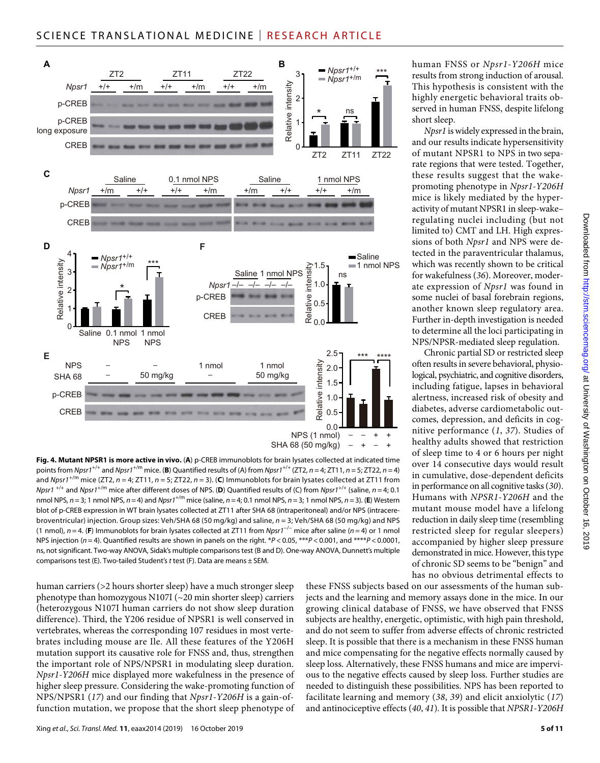

**Fig. 4. Mutant NPSR1 is more active in vivo.** (**A**) p-CREB immunoblots for brain lysates collected at indicated time points from *Npsr1*+/+ and *Npsr1*+/m mice. (**B**) Quantified results of (A) from *Npsr1*+/+ (ZT2, *n* = 4; ZT11, *n* = 5; ZT22, *n* = 4) and *Npsr1*+/m mice (ZT2, *n* = 4; ZT11, *n* = 5; ZT22, *n* = 3). (**C**) Immunoblots for brain lysates collected at ZT11 from *Npsr1* +/+ and *Npsr1*+/m mice after different doses of NPS. (**D**) Quantified results of (C) from *Npsr1*+/+ (saline, *n* = 4; 0.1 nmol NPS, *n*=3; 1 nmol NPS, *n*=4) and *Npsr1*+/m mice (saline, *n*=4; 0.1 nmol NPS, *n*=3; 1 nmol NPS, *n*=3). (**E**) Western blot of p-CREB expression in WT brain lysates collected at ZT11 after SHA 68 (intraperitoneal) and/or NPS (intracerebroventricular) injection. Group sizes: Veh/SHA 68 (50 mg/kg) and saline, *n* = 3; Veh/SHA 68 (50 mg/kg) and NPS (1 nmol), *n* = 4. (**F**) Immunoblots for brain lysates collected at ZT11 from *Npsr1*−/− mice after saline (*n* = 4) or 1 nmol NPS injection (*n* = 4). Quantified results are shown in panels on the right. \**P* < 0.05, \*\*\**P* < 0.001, and \*\*\*\**P* < 0.0001, ns, not significant. Two-way ANOVA, Sidak's multiple comparisons test (B and D). One-way ANOVA, Dunnett's multiple comparisons test (E). Two-tailed Student's *t* test (F). Data are means ± SEM.

human carriers (>2 hours shorter sleep) have a much stronger sleep phenotype than homozygous N107I (~20 min shorter sleep) carriers (heterozygous N107I human carriers do not show sleep duration difference). Third, the Y206 residue of NPSR1 is well conserved in vertebrates, whereas the corresponding 107 residues in most vertebrates including mouse are Ile. All these features of the Y206H mutation support its causative role for FNSS and, thus, strengthen the important role of NPS/NPSR1 in modulating sleep duration. *Npsr1-Y206H* mice displayed more wakefulness in the presence of higher sleep pressure. Considering the wake-promoting function of NPS/NPSR1 (*17*) and our finding that *Npsr1-Y206H* is a gain-offunction mutation, we propose that the short sleep phenotype of

these FNSS subjects based on our assessments of the human subjects and the learning and memory assays done in the mice. In our growing clinical database of FNSS, we have observed that FNSS subjects are healthy, energetic, optimistic, with high pain threshold, and do not seem to suffer from adverse effects of chronic restricted sleep. It is possible that there is a mechanism in these FNSS human and mice compensating for the negative effects normally caused by sleep loss. Alternatively, these FNSS humans and mice are impervious to the negative effects caused by sleep loss. Further studies are needed to distinguish these possibilities. NPS has been reported to facilitate learning and memory (*38*, *39*) and elicit anxiolytic (*17*) and antinociceptive effects (*40*, *41*). It is possible that *NPSR1-Y206H*

human FNSS or *Npsr1-Y206H* mice results from strong induction of arousal. This hypothesis is consistent with the highly energetic behavioral traits observed in human FNSS, despite lifelong short sleep.

*Npsr1* is widely expressed in the brain, and our results indicate hypersensitivity of mutant NPSR1 to NPS in two separate regions that were tested. Together, these results suggest that the wakepromoting phenotype in *Npsr1-Y206H* mice is likely mediated by the hyperactivity of mutant NPSR1 in sleep-wake– regulating nuclei including (but not limited to) CMT and LH. High expressions of both *Npsr1* and NPS were detected in the paraventricular thalamus, which was recently shown to be critical for wakefulness (*36*). Moreover, moderate expression of *Npsr1* was found in some nuclei of basal forebrain regions, another known sleep regulatory area. Further in-depth investigation is needed to determine all the loci participating in NPS/NPSR-mediated sleep regulation.

Chronic partial SD or restricted sleep often results in severe behavioral, physiological, psychiatric, and cognitive disorders, including fatigue, lapses in behavioral alertness, increased risk of obesity and diabetes, adverse cardiometabolic outcomes, depression, and deficits in cognitive performance (*1*, *37*). Studies of healthy adults showed that restriction of sleep time to 4 or 6 hours per night over 14 consecutive days would result in cumulative, dose-dependent deficits in performance on all cognitive tasks (*30*). Humans with *NPSR1-Y206H* and the mutant mouse model have a lifelong reduction in daily sleep time (resembling restricted sleep for regular sleepers) accompanied by higher sleep pressure demonstrated in mice. However, this type of chronic SD seems to be "benign" and has no obvious detrimental effects to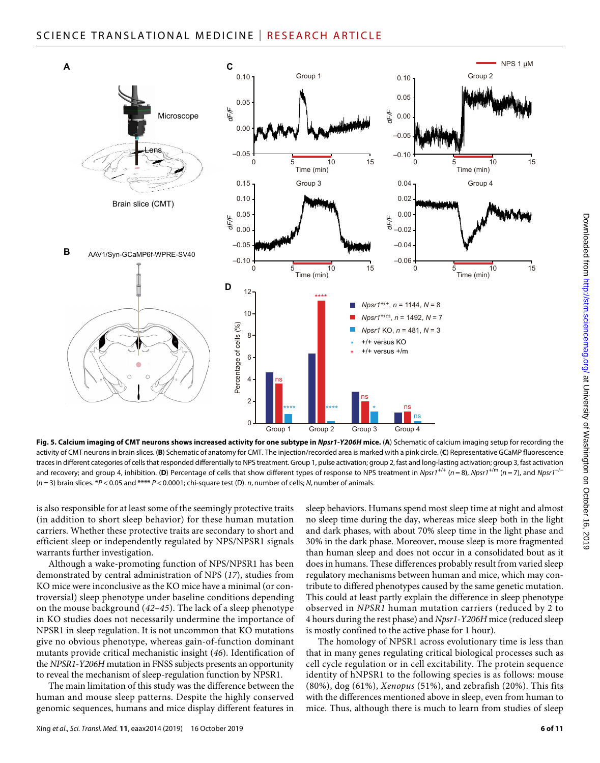

**Fig. 5. Calcium imaging of CMT neurons shows increased activity for one subtype in** *Npsr1***-***Y206H* **mice.** (**A**) Schematic of calcium imaging setup for recording the activity of CMT neurons in brain slices. (**B**) Schematic of anatomy for CMT. The injection/recorded area is marked with a pink circle. (**C**) Representative GCaMP fluorescence traces in different categories of cells that responded differentially to NPS treatment. Group 1, pulse activation; group 2, fast and long-lasting activation; group 3, fast activation and recovery; and group 4, inhibition. (**D**) Percentage of cells that show different types of response to NPS treatment in *Npsr1*+/+ (*n* = 8), *Npsr1*+/m (*n* = 7), and *Npsr1*−/− (*n* = 3) brain slices. \**P* < 0.05 and \*\*\*\* *P* < 0.0001; chi-square test (D). *n*, number of cells; *N*, number of animals.

is also responsible for at least some of the seemingly protective traits (in addition to short sleep behavior) for these human mutation carriers. Whether these protective traits are secondary to short and efficient sleep or independently regulated by NPS/NPSR1 signals warrants further investigation.

Although a wake-promoting function of NPS/NPSR1 has been demonstrated by central administration of NPS (*17*), studies from KO mice were inconclusive as the KO mice have a minimal (or controversial) sleep phenotype under baseline conditions depending on the mouse background (*42*–*45*). The lack of a sleep phenotype in KO studies does not necessarily undermine the importance of NPSR1 in sleep regulation. It is not uncommon that KO mutations give no obvious phenotype, whereas gain-of-function dominant mutants provide critical mechanistic insight (*46*). Identification of the *NPSR1-Y206H* mutation in FNSS subjects presents an opportunity to reveal the mechanism of sleep-regulation function by NPSR1.

The main limitation of this study was the difference between the human and mouse sleep patterns. Despite the highly conserved genomic sequences, humans and mice display different features in sleep behaviors. Humans spend most sleep time at night and almost no sleep time during the day, whereas mice sleep both in the light and dark phases, with about 70% sleep time in the light phase and 30% in the dark phase. Moreover, mouse sleep is more fragmented than human sleep and does not occur in a consolidated bout as it does in humans. These differences probably result from varied sleep regulatory mechanisms between human and mice, which may contribute to differed phenotypes caused by the same genetic mutation. This could at least partly explain the difference in sleep phenotype observed in *NPSR1* human mutation carriers (reduced by 2 to 4 hours during the rest phase) and *Npsr1-Y206H* mice (reduced sleep is mostly confined to the active phase for 1 hour).

The homology of NPSR1 across evolutionary time is less than that in many genes regulating critical biological processes such as cell cycle regulation or in cell excitability. The protein sequence identity of hNPSR1 to the following species is as follows: mouse (80%), dog (61%), *Xenopus* (51%), and zebrafish (20%). This fits with the differences mentioned above in sleep, even from human to mice. Thus, although there is much to learn from studies of sleep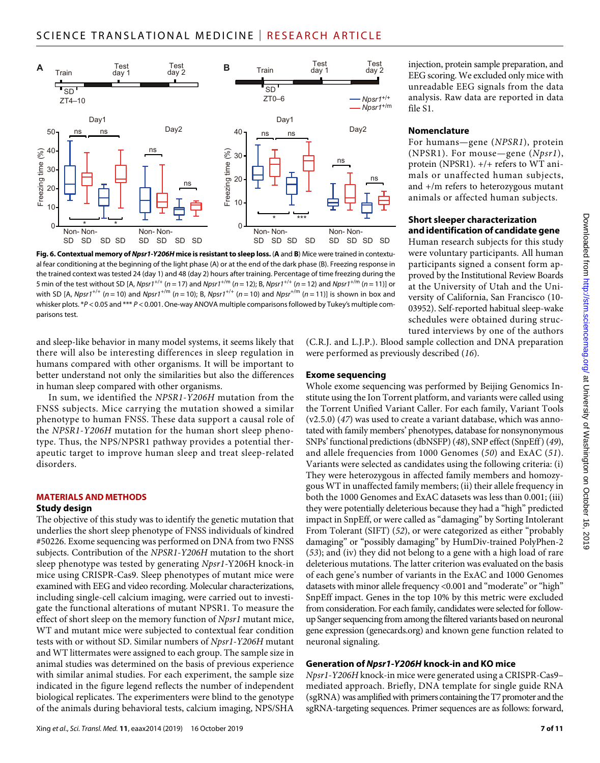

**Fig. 6. Contextual memory of** *Npsr1-Y206H* **mice is resistant to sleep loss.** (**A** and **B**) Mice were trained in contextual fear conditioning at the beginning of the light phase (A) or at the end of the dark phase (B). Freezing response in the trained context was tested 24 (day 1) and 48 (day 2) hours after training. Percentage of time freezing during the 5 min of the test without SD [A, *Npsr1*+/+ (*n* = 17) and *Npsr1*+/m (*n* = 12); B, *Npsr1*+/+ (*n* = 12) and *Npsr1*+/m (*n* = 11)] or with SD [A, *Npsr*<sup>+/+</sup> ( $n = 10$ ) and *Npsr*<sup>+/m</sup> ( $n = 10$ ); B, *Npsr*<sup>+/+</sup> ( $n = 10$ ) and *Npsr*<sup>+/m</sup> ( $n = 11$ )] is shown in box and whisker plots. \**P* < 0.05 and \*\*\* *P* < 0.001. One-way ANOVA multiple comparisons followed by Tukey's multiple comparisons test.

and sleep-like behavior in many model systems, it seems likely that there will also be interesting differences in sleep regulation in humans compared with other organisms. It will be important to better understand not only the similarities but also the differences in human sleep compared with other organisms.

In sum, we identified the *NPSR1-Y206H* mutation from the FNSS subjects. Mice carrying the mutation showed a similar phenotype to human FNSS. These data support a causal role of the *NPSR1-Y206H* mutation for the human short sleep phenotype. Thus, the NPS/NPSR1 pathway provides a potential therapeutic target to improve human sleep and treat sleep-related disorders.

#### **MATERIALS AND METHODS**

#### **Study design**

The objective of this study was to identify the genetic mutation that underlies the short sleep phenotype of FNSS individuals of kindred #50226. Exome sequencing was performed on DNA from two FNSS subjects. Contribution of the *NPSR1-Y206H* mutation to the short sleep phenotype was tested by generating *Npsr1-*Y206H knock-in mice using CRISPR-Cas9. Sleep phenotypes of mutant mice were examined with EEG and video recording. Molecular characterizations, including single-cell calcium imaging, were carried out to investigate the functional alterations of mutant NPSR1. To measure the effect of short sleep on the memory function of *Npsr1* mutant mice, WT and mutant mice were subjected to contextual fear condition tests with or without SD. Similar numbers of *Npsr1-Y206H* mutant and WT littermates were assigned to each group. The sample size in animal studies was determined on the basis of previous experience with similar animal studies. For each experiment, the sample size indicated in the figure legend reflects the number of independent biological replicates. The experimenters were blind to the genotype of the animals during behavioral tests, calcium imaging, NPS/SHA

Xing *et al*., *Sci. Transl. Med.* **11**, eaax2014 (2019) 16 October 2019

(C.R.J. and L.J.P.). Blood sample collection and DNA preparation were performed as previously described (*16*).

#### **Exome sequencing**

Whole exome sequencing was performed by Beijing Genomics Institute using the Ion Torrent platform, and variants were called using the Torrent Unified Variant Caller. For each family, Variant Tools (v2.5.0) (*47*) was used to create a variant database, which was annotated with family members' phenotypes, database for nonsynonymous SNPs' functional predictions (dbNSFP) (*48*), SNP effect (SnpEff ) (*49*), and allele frequencies from 1000 Genomes (*50*) and ExAC (*51*). Variants were selected as candidates using the following criteria: (i) They were heterozygous in affected family members and homozygous WT in unaffected family members; (ii) their allele frequency in both the 1000 Genomes and ExAC datasets was less than 0.001; (iii) they were potentially deleterious because they had a "high" predicted impact in SnpEff, or were called as "damaging" by Sorting Intolerant From Tolerant (SIFT) (*52*), or were categorized as either "probably damaging" or "possibly damaging" by HumDiv-trained PolyPhen-2 (*53*); and (iv) they did not belong to a gene with a high load of rare deleterious mutations. The latter criterion was evaluated on the basis of each gene's number of variants in the ExAC and 1000 Genomes datasets with minor allele frequency <0.001 and "moderate" or "high" SnpEff impact. Genes in the top 10% by this metric were excluded from consideration. For each family, candidates were selected for followup Sanger sequencing from among the filtered variants based on neuronal gene expression [\(genecards.org\)](http://genecards.org) and known gene function related to neuronal signaling.

#### **Generation of** *Npsr1-Y206H* **knock-in and KO mice**

*Npsr1-Y206H* knock-in mice were generated using a CRISPR-Cas9– mediated approach. Briefly, DNA template for single guide RNA (sgRNA) was amplified with primers containing the T7 promoter and the sgRNA-targeting sequences. Primer sequences are as follows: forward,

injection, protein sample preparation, and EEG scoring. We excluded only mice with unreadable EEG signals from the data analysis. Raw data are reported in data file S1.

#### **Nomenclature**

For humans—gene (*NPSR1*), protein (NPSR1). For mouse—gene (*Npsr1*), protein (NPSR1). +/+ refers to WT animals or unaffected human subjects, and +/m refers to heterozygous mutant animals or affected human subjects.

#### **Short sleeper characterization and identification of candidate gene**

Human research subjects for this study were voluntary participants. All human participants signed a consent form approved by the Institutional Review Boards at the University of Utah and the University of California, San Francisco (10- 03952). Self-reported habitual sleep-wake schedules were obtained during structured interviews by one of the authors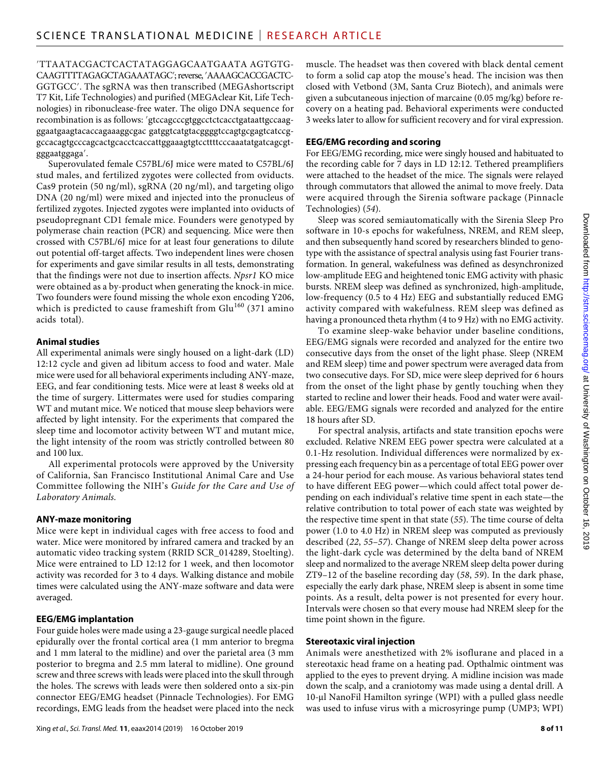′TTAATACGACTCACTATAGGAGCAATGAATA AGTGTG-CAAGTTTTAGAGCTAGAAATAGC′; reverse, ′AAAAGCACCGACTC-GGTGCC′. The sgRNA was then transcribed (MEGAshortscript T7 Kit, Life Technologies) and purified (MEGAclear Kit, Life Technologies) in ribonuclease-free water. The oligo DNA sequence for recombination is as follows: ′gtccagcccgtggcctctcacctgataattgccaagggaatgaagtacaccagaaaggcgac gatggtcatgtacggggtccagtgcgagtcatccggccacagtgcccagcactgcacctcaccattggaaagtgtccttttcccaaatatgatcagcgtgggaatggaga′.

Superovulated female C57BL/6J mice were mated to C57BL/6J stud males, and fertilized zygotes were collected from oviducts. Cas9 protein (50 ng/ml), sgRNA (20 ng/ml), and targeting oligo DNA (20 ng/ml) were mixed and injected into the pronucleus of fertilized zygotes. Injected zygotes were implanted into oviducts of pseudopregnant CD1 female mice. Founders were genotyped by polymerase chain reaction (PCR) and sequencing. Mice were then crossed with C57BL/6J mice for at least four generations to dilute out potential off-target affects. Two independent lines were chosen for experiments and gave similar results in all tests, demonstrating that the findings were not due to insertion affects. *Npsr1* KO mice were obtained as a by-product when generating the knock-in mice. Two founders were found missing the whole exon encoding Y206, which is predicted to cause frameshift from  $Glu^{160}$  (371 amino acids total).

#### **Animal studies**

All experimental animals were singly housed on a light-dark (LD) 12:12 cycle and given ad libitum access to food and water. Male mice were used for all behavioral experiments including ANY-maze, EEG, and fear conditioning tests. Mice were at least 8 weeks old at the time of surgery. Littermates were used for studies comparing WT and mutant mice. We noticed that mouse sleep behaviors were affected by light intensity. For the experiments that compared the sleep time and locomotor activity between WT and mutant mice, the light intensity of the room was strictly controlled between 80 and 100 lux.

All experimental protocols were approved by the University of California, San Francisco Institutional Animal Care and Use Committee following the NIH's *Guide for the Care and Use of Laboratory Animals*.

## **ANY-maze monitoring**

Mice were kept in individual cages with free access to food and water. Mice were monitored by infrared camera and tracked by an automatic video tracking system (RRID SCR\_014289, Stoelting). Mice were entrained to LD 12:12 for 1 week, and then locomotor activity was recorded for 3 to 4 days. Walking distance and mobile times were calculated using the ANY-maze software and data were averaged.

## **EEG/EMG implantation**

Four guide holes were made using a 23-gauge surgical needle placed epidurally over the frontal cortical area (1 mm anterior to bregma and 1 mm lateral to the midline) and over the parietal area (3 mm posterior to bregma and 2.5 mm lateral to midline). One ground screw and three screws with leads were placed into the skull through the holes. The screws with leads were then soldered onto a six-pin connector EEG/EMG headset (Pinnacle Technologies). For EMG recordings, EMG leads from the headset were placed into the neck muscle. The headset was then covered with black dental cement to form a solid cap atop the mouse's head. The incision was then closed with Vetbond (3M, Santa Cruz Biotech), and animals were given a subcutaneous injection of marcaine (0.05 mg/kg) before recovery on a heating pad. Behavioral experiments were conducted 3 weeks later to allow for sufficient recovery and for viral expression.

#### **EEG/EMG recording and scoring**

For EEG/EMG recording, mice were singly housed and habituated to the recording cable for 7 days in LD 12:12. Tethered preamplifiers were attached to the headset of the mice. The signals were relayed through commutators that allowed the animal to move freely. Data were acquired through the Sirenia software package (Pinnacle Technologies) (*54*).

Sleep was scored semiautomatically with the Sirenia Sleep Pro software in 10-s epochs for wakefulness, NREM, and REM sleep, and then subsequently hand scored by researchers blinded to genotype with the assistance of spectral analysis using fast Fourier transformation. In general, wakefulness was defined as desynchronized low-amplitude EEG and heightened tonic EMG activity with phasic bursts. NREM sleep was defined as synchronized, high-amplitude, low-frequency (0.5 to 4 Hz) EEG and substantially reduced EMG activity compared with wakefulness. REM sleep was defined as having a pronounced theta rhythm (4 to 9 Hz) with no EMG activity.

To examine sleep-wake behavior under baseline conditions, EEG/EMG signals were recorded and analyzed for the entire two consecutive days from the onset of the light phase. Sleep (NREM and REM sleep) time and power spectrum were averaged data from two consecutive days. For SD, mice were sleep deprived for 6 hours from the onset of the light phase by gently touching when they started to recline and lower their heads. Food and water were available. EEG/EMG signals were recorded and analyzed for the entire 18 hours after SD.

For spectral analysis, artifacts and state transition epochs were excluded. Relative NREM EEG power spectra were calculated at a 0.1-Hz resolution. Individual differences were normalized by expressing each frequency bin as a percentage of total EEG power over a 24-hour period for each mouse. As various behavioral states tend to have different EEG power—which could affect total power depending on each individual's relative time spent in each state—the relative contribution to total power of each state was weighted by the respective time spent in that state (*55*). The time course of delta power (1.0 to 4.0 Hz) in NREM sleep was computed as previously described (*22*, *55*–*57*). Change of NREM sleep delta power across the light-dark cycle was determined by the delta band of NREM sleep and normalized to the average NREM sleep delta power during ZT9–12 of the baseline recording day (*58*, *59*). In the dark phase, especially the early dark phase, NREM sleep is absent in some time points. As a result, delta power is not presented for every hour. Intervals were chosen so that every mouse had NREM sleep for the time point shown in the figure.

## **Stereotaxic viral injection**

Animals were anesthetized with 2% isoflurane and placed in a stereotaxic head frame on a heating pad. Opthalmic ointment was applied to the eyes to prevent drying. A midline incision was made down the scalp, and a craniotomy was made using a dental drill. A 10-µl NanoFil Hamilton syringe (WPI) with a pulled glass needle was used to infuse virus with a microsyringe pump (UMP3; WPI)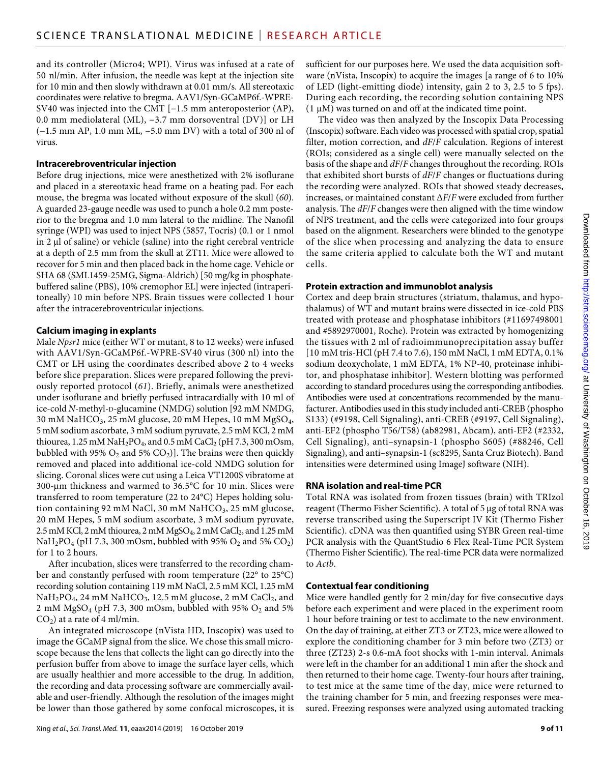and its controller (Micro4; WPI). Virus was infused at a rate of 50 nl/min. After infusion, the needle was kept at the injection site for 10 min and then slowly withdrawn at 0.01 mm/s. All stereotaxic coordinates were relative to bregma. AAV1/Syn-GCaMP6f.-WPRE-SV40 was injected into the CMT [−1.5 mm anteroposterior (AP), 0.0 mm mediolateral (ML), −3.7 mm dorsoventral (DV)] or LH (−1.5 mm AP, 1.0 mm ML, −5.0 mm DV) with a total of 300 nl of virus.

#### **Intracerebroventricular injection**

Before drug injections, mice were anesthetized with 2% isoflurane and placed in a stereotaxic head frame on a heating pad. For each mouse, the bregma was located without exposure of the skull (*60*). A guarded 23-gauge needle was used to punch a hole 0.2 mm posterior to the bregma and 1.0 mm lateral to the midline. The Nanofil syringe (WPI) was used to inject NPS (5857, Tocris) (0.1 or 1 nmol in 2  $\mu$ l of saline) or vehicle (saline) into the right cerebral ventricle at a depth of 2.5 mm from the skull at ZT11. Mice were allowed to recover for 5 min and then placed back in the home cage. Vehicle or SHA 68 (SML1459-25MG, Sigma-Aldrich) [50 mg/kg in phosphatebuffered saline (PBS), 10% cremophor EL] were injected (intraperitoneally) 10 min before NPS. Brain tissues were collected 1 hour after the intracerebroventricular injections.

#### **Calcium imaging in explants**

Male *Npsr1* mice (either WT or mutant, 8 to 12 weeks) were infused with AAV1/Syn-GCaMP6f.-WPRE-SV40 virus (300 nl) into the CMT or LH using the coordinates described above 2 to 4 weeks before slice preparation. Slices were prepared following the previously reported protocol (*61*). Briefly, animals were anesthetized under isoflurane and briefly perfused intracardially with 10 ml of ice-cold *N*-methyl-p-glucamine (NMDG) solution [92 mM NMDG, 30 mM NaHCO3, 25 mM [glucose](https://www.sciencedirect.com/topics/neuroscience/glucose), 20 mM [Hepes,](https://www.sciencedirect.com/topics/neuroscience/hepes) 10 mM MgSO4, 5 mM sodium [ascorbate](https://www.sciencedirect.com/topics/neuroscience/vitamin-c), 3 mM [sodium pyruvate,](https://www.sciencedirect.com/topics/neuroscience/sodium-pyruvate) 2.5 mM KCl, 2 mM [thiourea](https://www.sciencedirect.com/topics/neuroscience/thioureas), 1.25 mM NaH<sub>2</sub>PO<sub>4</sub>, and 0.5 mM CaCl<sub>2</sub> (pH 7.3, 300 mOsm, bubbled with 95%  $O_2$  and 5%  $CO_2$ )]. The brains were then quickly removed and placed into additional ice-cold NMDG solution for slicing. Coronal slices were cut using a Leica VT1200S vibratome at 300-um thickness and warmed to 36.5°C for 10 min. Slices were transferred to room temperature (22 to 24°C) Hepes holding solution containing 92 mM NaCl, 30 mM NaHCO<sub>3</sub>, 25 mM glucose, 20 mM Hepes, 5 mM sodium ascorbate, 3 mM sodium pyruvate, 2.5 mM KCl, 2 mM thiourea, 2 mM MgSO<sub>4</sub>, 2 mM CaCl<sub>2</sub>, and 1.25 mM NaH<sub>2</sub>PO<sub>4</sub> (pH 7.3, 300 mOsm, bubbled with 95% O<sub>2</sub> and 5% CO<sub>2</sub>) for 1 to 2 hours.

After incubation, slices were transferred to the recording chamber and constantly perfused with room temperature (22° to 25°C) recording solution containing 119 mM NaCl, 2.5 mM KCl, 1.25 mM  $NaH<sub>2</sub>PO<sub>4</sub>$ , 24 mM NaHCO<sub>3</sub>, 12.5 mM glucose, 2 mM CaCl<sub>2</sub>, and 2 mM MgSO<sub>4</sub> (pH 7.3, 300 mOsm, bubbled with 95% O<sub>2</sub> and 5% CO2) at a rate of 4 ml/min.

An integrated microscope (nVista HD, Inscopix) was used to image the GCaMP signal from the slice. We chose this small microscope because the lens that collects the light can go directly into the perfusion buffer from above to image the surface layer cells, which are usually healthier and more accessible to the drug. In addition, the recording and data processing software are commercially available and user-friendly. Although the resolution of the images might be lower than those gathered by some confocal microscopes, it is

sufficient for our purposes here. We used the data acquisition software (nVista, Inscopix) to acquire the images [a range of 6 to 10% of LED (light-emitting diode) intensity, gain 2 to 3, 2.5 to 5 fps). During each recording, the recording solution containing NPS  $(1 \mu M)$  was turned on and off at the indicated time point.

The video was then analyzed by the Inscopix Data Processing (Inscopix) software. Each video was processed with spatial crop, spatial filter, motion correction, and *dF*/*F* calculation. Regions of interest (ROIs; considered as a single cell) were manually selected on the basis of the shape and *dF*/*F* changes throughout the recording. ROIs that exhibited short bursts of *dF*/*F* changes or fluctuations during the recording were analyzed. ROIs that showed steady decreases, increases, or maintained constant ∆*F*/*F* were excluded from further analysis. The *dF*/*F* changes were then aligned with the time window of NPS treatment, and the cells were categorized into four groups based on the alignment. Researchers were blinded to the genotype of the slice when processing and analyzing the data to ensure the same criteria applied to calculate both the WT and mutant cells.

## **Protein extraction and immunoblot analysis**

Cortex and deep brain structures (striatum, thalamus, and hypothalamus) of WT and mutant brains were dissected in ice-cold PBS treated with protease and phosphatase inhibitors (#11697498001 and #5892970001, Roche). Protein was extracted by homogenizing the tissues with 2 ml of radioimmunoprecipitation assay buffer [10 mM tris-HCl (pH 7.4 to 7.6), 150 mM NaCl, 1 mM EDTA, 0.1% sodium deoxycholate, 1 mM EDTA, 1% NP-40, proteinase inhibitor, and phosphatase inhibitor]. Western blotting was performed according to standard procedures using the corresponding antibodies. Antibodies were used at concentrations recommended by the manufacturer. Antibodies used in this study included anti-CREB (phospho S133) (#9198, Cell Signaling), anti-CREB (#9197, Cell Signaling), anti-EF2 (phospho T56/T58) (ab82981, Abcam), anti-EF2 (#2332, Cell Signaling), anti–synapsin-1 (phospho S605) (#88246, Cell Signaling), and anti–synapsin-1 (sc8295, Santa Cruz Biotech). Band intensities were determined using ImageJ software (NIH).

## **RNA isolation and real-time PCR**

Total RNA was isolated from frozen tissues (brain) with TRIzol reagent ([Thermo Fisher Scientific\)](https://www.thermofisher.com/us/en/home.html). A total of 5 µg of total RNA was reverse transcribed using the Superscript IV Kit ([Thermo Fisher](https://www.thermofisher.com/us/en/home.html) [Scientific](https://www.thermofisher.com/us/en/home.html)). cDNA was then quantified using SYBR Green real-time PCR analysis with the [QuantStudio 6 Flex Real-Time PCR System](https://www.thermofisher.com/us/en/home/life-science/pcr/real-time-pcr/real-time-pcr-instruments/quantstudio-6-flex-real-time-pcr-system.html) [\(Thermo Fisher Scientific](https://www.thermofisher.com/us/en/home.html)). The real-time PCR data were normalized to *Actb*.

## **Contextual fear conditioning**

Mice were handled gently for 2 min/day for five consecutive days before each experiment and were placed in the experiment room 1 hour before training or test to acclimate to the new environment. On the day of training, at either ZT3 or ZT23, mice were allowed to explore the conditioning chamber for 3 min before two (ZT3) or three (ZT23) 2-s 0.6-mA foot shocks with 1-min interval. Animals were left in the chamber for an additional 1 min after the shock and then returned to their home cage. Twenty-four hours after training, to test mice at the same time of the day, mice were returned to the training chamber for 5 min, and freezing responses were measured. Freezing responses were analyzed using automated tracking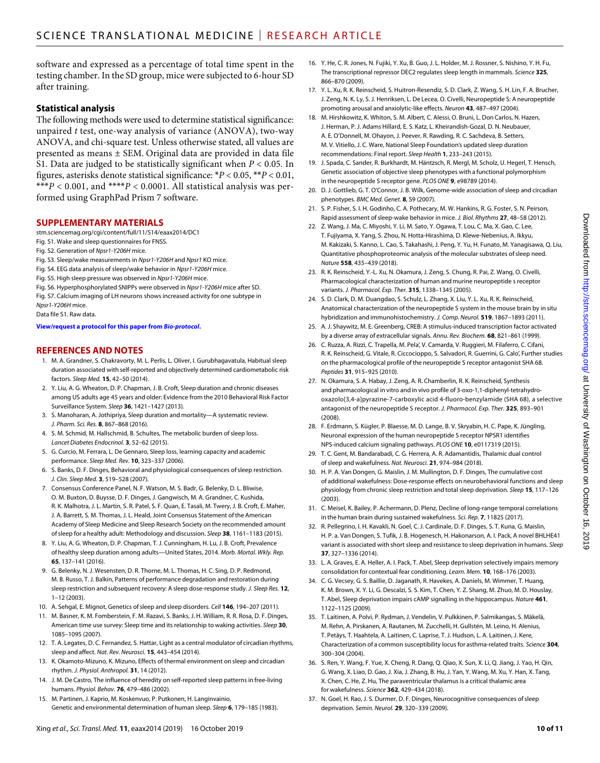software and expressed as a percentage of total time spent in the testing chamber. In the SD group, mice were subjected to 6-hour SD after training.

#### **Statistical analysis**

The following methods were used to determine statistical significance: unpaired *t* test, one-way analysis of variance (ANOVA), two-way ANOVA, and chi-square test. Unless otherwise stated, all values are presented as means ± SEM. Original data are provided in data file S1. Data are judged to be statistically significant when *P* < 0.05. In figures, asterisks denote statistical significance: \**P* < 0.05, \*\**P* < 0.01, \*\*\**P* < 0.001, and \*\*\*\**P* < 0.0001. All statistical analysis was performed using GraphPad Prism 7 software.

#### **SUPPLEMENTARY MATERIALS**

[stm.sciencemag.org/cgi/content/full/11/514/eaax2014/DC1](http://stm.sciencemag.org/cgi/content/full/11/514/eaax2014/DC1)

- Fig. S1. Wake and sleep questionnaires for FNSS.
- Fig. S2. Generation of *Npsr1*-*Y206H* mice.
- Fig. S3. Sleep/wake measurements in *Npsr1*-*Y206H* and *Npsr1* KO mice.
- Fig. S4. EEG data analysis of sleep/wake behavior in *Npsr1*-*Y206H* mice.
- Fig. S5. High sleep pressure was observed in *Npsr1-Y206H* mice.
- Fig. S6. Hyperphosphorylated SNIPPs were observed in *Npsr1*-*Y206H* mice after SD.
- Fig. S7. Calcium imaging of LH neurons shows increased activity for one subtype in

*Npsr1-Y206H* mice. Data file S1. Raw data.

#### **[View/request a protocol for this paper from](https://en.bio-protocol.org/rap.aspx?eid=10.1126/scitranslmed.aax2014)** *Bio-protocol***.**

#### **REFERENCES AND NOTES**

- 1. M. A. Grandner, S. Chakravorty, M. L. Perlis, L. Oliver, I. Gurubhagavatula, Habitual sleep duration associated with self-reported and objectively determined cardiometabolic risk factors. *Sleep Med.* **15**, 42–50 (2014).
- 2. Y. Liu, A. G. Wheaton, D. P. Chapman, J. B. Croft, Sleep duration and chronic diseases among US adults age 45 years and older: Evidence from the 2010 Behavioral Risk Factor Surveillance System. *Sleep* **36**, 1421–1427 (2013).
- 3. S. Manoharan, A. Jothipriya, Sleep duration and mortality—A systematic review. *J. Pharm. Sci. Res.* **8**, 867–868 (2016).
- 4. S. M. Schmid, M. Hallschmid, B. Schultes, The metabolic burden ofsleep loss. *Lancet Diabetes Endocrinol.* **3**, 52–62 (2015).
- 5. G. Curcio, M. Ferrara, L. De Gennaro, Sleep loss, learning capacity and academic performance. *Sleep Med. Rev.* **10**, 323–337 (2006).
- 6. S. Banks, D. F. Dinges, Behavioral and physiological consequences ofsleep restriction. *J. Clin. Sleep Med.* **3**, 519–528 (2007).
- 7. Consensus Conference Panel, N. F. Watson, M. S. Badr, G. Belenky, D. L. Bliwise, O. M. Buxton, D. Buysse, D. F. Dinges, J. Gangwisch, M. A. Grandner, C. Kushida, R. K. Malhotra, J. L. Martin, S. R. Patel, S. F. Quan, E. Tasali, M. Twery, J. B. Croft, E. Maher, J. A. Barrett, S. M. Thomas, J. L. Heald, Joint Consensus Statement of the American Academy of Sleep Medicine and Sleep Research Society on the recommended amount ofsleep for a healthy adult: Methodology and discussion. *Sleep* **38**, 1161–1183 (2015).
- 8. Y. Liu, A. G. Wheaton, D. P. Chapman, T. J. Cunningham, H. Lu, J. B. Croft, Prevalence of healthy sleep duration among adults—United States, 2014. *Morb. Mortal. Wkly. Rep.* **65**, 137–141 (2016).
- 9. G. Belenky, N. J. Wesensten, D. R. Thorne, M. L. Thomas, H. C. Sing, D. P. Redmond, M. B. Russo, T. J. Balkin, Patterns of performance degradation and restoration during sleep restriction and subsequent recovery: A sleep dose-response study. *J. Sleep Res.* **12**, 1–12 (2003).
- 10. A. Sehgal, E. Mignot, Genetics ofsleep and sleep disorders. *Cell* **146**, 194–207 (2011).
- 11. M. Basner, K. M. Fomberstein, F. M. Razavi, S. Banks, J. H. William, R. R. Rosa, D. F. Dinges, American time use survey: Sleep time and its relationship to waking activities. *Sleep* **30**, 1085–1095 (2007).
- 12. T. A. Legates, D. C. Fernandez, S. Hattar, Light as a central modulator of circadian rhythms, sleep and affect. *Nat. Rev. Neurosci.* **15**, 443–454 (2014).
- 13. K. Okamoto-Mizuno, K. Mizuno, Effects of thermal environment on sleep and circadian rhythm. *J. Physiol. Anthropol.* **31**, 14 (2012).
- 14. J. M. De Castro, The influence of heredity on self-reported sleep patterns in free-living humans. *Physiol. Behav.* **76**, 479–486 (2002).
- 15. M. Partinen, J. Kaprio, M. Koskenvuo, P. Putkonen, H. Langinvainio, Genetic and environmental determination of human sleep. *Sleep* **6**, 179–185 (1983).
- 16. Y. He, C. R. Jones, N. Fujiki, Y. Xu, B. Guo, J. L. Holder, M. J. Rossner, S. Nishino, Y. H. Fu, The transcriptional repressor DEC2 regulates sleep length in mammals. *Science* **325**, 866–870 (2009).
- 17. Y. L. Xu, R. K. Reinscheid, S. Huitron-Resendiz, S. D. Clark, Z. Wang, S. H. Lin, F. A. Brucher, J. Zeng, N. K. Ly, S. J. Henriksen, L. De Lecea, O. Civelli, Neuropeptide S: A neuropeptide promoting arousal and anxiolytic-like effects. *Neuron* **43**, 487–497 (2004).
- 18. M. Hirshkowitz, K. Whiton, S. M. Albert, C. Alessi, O. Bruni, L. Don Carlos, N. Hazen, J. Herman, P. J. Adams Hillard, E. S. Katz, L. Kheirandish-Gozal, D. N. Neubauer, A. E. O'Donnell, M. Ohayon, J. Peever, R. Rawding, R. C. Sachdeva, B. Setters, M. V. Vitiello, J. C. Ware, National Sleep Foundation's updated sleep duration recommendations: Final report. *Sleep Health* **1**, 233–243 (2015).
- 19. J. Spada, C. Sander, R. Burkhardt, M. Häntzsch, R. Mergl, M. Scholz, U. Hegerl, T. Hensch, Genetic association of objective sleep phenotypes with a functional polymorphism in the neuropeptide S receptor gene. *PLOS ONE* **9**, e98789 (2014).
- 20. D. J. Gottlieb, G. T. O'Connor, J. B. Wilk, Genome-wide association of sleep and circadian phenotypes. *BMC Med. Genet.* **8**, S9 (2007).
- 21. S. P. Fisher, S. I. H. Godinho, C. A. Pothecary, M. W. Hankins, R. G. Foster, S. N. Peirson, Rapid assessment ofsleep-wake behavior in mice. *J. Biol. Rhythms* **27**, 48–58 (2012).
- 22. Z. Wang, J. Ma, C. Miyoshi, Y. Li, M. Sato, Y. Ogawa, T. Lou, C. Ma, X. Gao, C. Lee, T. Fujiyama, X. Yang, S. Zhou, N. Hotta-Hirashima, D. Klewe-Nebenius, A. Ikkyu, M. Kakizaki, S. Kanno, L. Cao, S. Takahashi, J. Peng, Y. Yu, H. Funato, M. Yanagisawa, Q. Liu, Quantitative phosphoproteomic analysis of the molecular substrates of sleep need. *Nature* **558**, 435–439 (2018).
- 23. R. K. Reinscheid, Y.-L. Xu, N. Okamura, J. Zeng, S. Chung, R. Pai, Z. Wang, O. Civelli, Pharmacological characterization of human and murine neuropeptide s receptor variants. *J. Pharmacol. Exp. Ther.* **315**, 1338–1345 (2005).
- 24. S. D. Clark, D. M. Duangdao, S. Schulz, L. Zhang, X. Liu, Y. L. Xu, R. K. Reinscheid, Anatomical characterization of the neuropeptide S system in the mouse brain by in situ hybridization and immunohistochemistry. *J. Comp. Neurol.* **519**, 1867–1893 (2011).
- 25. A. J. Shaywitz, M. E. Greenberg, CREB: A stimulus-induced transcription factor activated by a diverse array of extracellular signals. *Annu. Rev. Biochem.* **68**, 821–861 (1999).
- 26. C. Ruzza, A. Rizzi, C. Trapella, M. Pela', V. Camarda, V. Ruggieri, M. Filaferro, C. Cifani, R. K. Reinscheid, G. Vitale, R. Ciccocioppo, S. Salvadori, R. Guerrini, G. Calo', Further studies on the pharmacological profile of the neuropeptide S receptor antagonist SHA 68. *Peptides* **31**, 915–925 (2010).
- 27. N. Okamura, S. A. Habay, J. Zeng, A. R. Chamberlin, R. K. Reinscheid, Synthesis and pharmacological in vitro and in vivo profile of 3-oxo-1,1-diphenyl-tetrahydrooxazolo[3,4-a]pyrazine-7-carboxylic acid 4-fluoro-benzylamide (SHA 68), a selective antagonist of the neuropeptide S receptor. *J. Pharmacol. Exp. Ther.* **325**, 893–901 (2008).
- 28. F. Erdmann, S. Kügler, P. Blaesse, M. D. Lange, B. V. Skryabin, H. C. Pape, K. Jüngling, Neuronal expression of the human neuropeptide S receptor NPSR1 identifies NPS-induced calcium signaling pathways. *PLOS ONE* **10**, e0117319 (2015).
- 29. T. C. Gent, M. Bandarabadi, C. G. Herrera, A. R. Adamantidis, Thalamic dual control ofsleep and wakefulness. *Nat. Neurosci.* **21**, 974–984 (2018).
- 30. H. P. A. Van Dongen, G. Maislin, J. M. Mullington, D. F. Dinges, The cumulative cost of additional wakefulness: Dose-response effects on neurobehavioral functions and sleep physiology from chronic sleep restriction and total sleep deprivation. *Sleep* **15**, 117–126 (2003).
- 31. C. Meisel, K. Bailey, P. Achermann, D. Plenz, Decline of long-range temporal correlations in the human brain during sustained wakefulness. *Sci. Rep.* **7**, 11825 (2017).
- 32. R. Pellegrino, I. H. Kavakli, N. Goel, C. J. Cardinale, D. F. Dinges, S. T. Kuna, G. Maislin, H. P. a. Van Dongen, S. Tufik, J. B. Hogenesch, H. Hakonarson, A. I. Pack, A novel BHLHE41 variant is associated with short sleep and resistance to sleep deprivation in humans. *Sleep* **37**, 327–1336 (2014).
- 33. L. A. Graves, E. A. Heller, A. I. Pack, T. Abel, Sleep deprivation selectively impairs memory consolidation for contextual fear conditioning. *Learn. Mem.* **10**, 168–176 (2003).
- 34. C. G. Vecsey, G. S. Baillie, D. Jaganath, R. Havekes, A. Daniels, M. Wimmer, T. Huang, K. M. Brown, X. Y. Li, G. Descalzi, S. S. Kim, T. Chen, Y. Z. Shang, M. Zhuo, M. D. Houslay, T. Abel, Sleep deprivation impairs cAMP signalling in the hippocampus. *Nature* **461**, 1122–1125 (2009).
- 35. T. Laitinen, A. Polvi, P. Rydman, J. Vendelin, V. Pulkkinen, P. Salmikangas, S. Mäkelä, M. Rehn, A. Pirskanen, A. Rautanen, M. Zucchelli, H. Gullstén, M. Leino, H. Alenius, T. Petäys, T. Haahtela, A. Laitinen, C. Laprise, T. J. Hudson, L. A. Laitinen, J. Kere, Characterization of a common susceptibility locus for asthma-related traits. *Science* **304**, 300–304 (2004).
- 36. S. Ren, Y. Wang, F. Yue, X. Cheng, R. Dang, Q. Qiao, X. Sun, X. Li, Q. Jiang, J. Yao, H. Qin, G. Wang, X. Liao, D. Gao, J. Xia, J. Zhang, B. Hu, J. Yan, Y. Wang, M. Xu, Y. Han, X. Tang, X. Chen, C. He, Z. Hu, The paraventricular thalamus is a critical thalamic area for wakefulness. *Science* **362**, 429–434 (2018).
- 37. N. Goel, H. Rao, J. S. Durmer, D. F. Dinges, Neurocognitive consequences ofsleep deprivation. *Semin. Neurol.* **29**, 320–339 (2009).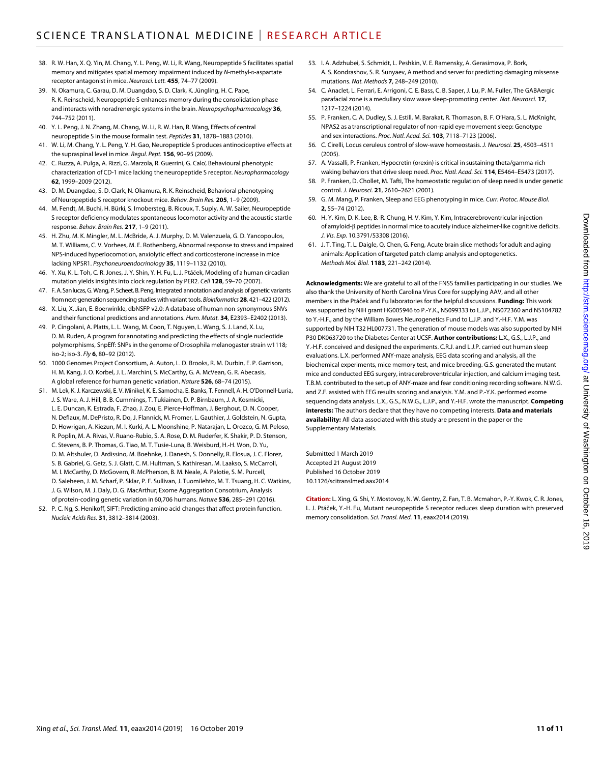- 38. R. W. Han, X. Q. Yin, M. Chang, Y. L. Peng, W. Li, R. Wang, Neuropeptide S facilitates spatial memory and mitigates spatial memory impairment induced by *N*-methyl-p-aspartate receptor antagonist in mice. *Neurosci. Lett.* **455**, 74–77 (2009).
- 39. N. Okamura, C. Garau, D. M. Duangdao, S. D. Clark, K. Jüngling, H. C. Pape, R. K. Reinscheid, Neuropeptide S enhances memory during the consolidation phase and interacts with noradrenergic systems in the brain. *Neuropsychopharmacology* **36**, 744–752 (2011).
- 40. Y. L. Peng, J. N. Zhang, M. Chang, W. Li, R. W. Han, R. Wang, Effects of central neuropeptide S in the mouse formalin test. *Peptides* **31**, 1878–1883 (2010).
- 41. W. Li, M. Chang, Y. L. Peng, Y. H. Gao, Neuropeptide S produces antinociceptive effects at the supraspinal level in mice. *Regul. Pept.* **156**, 90–95 (2009).
- 42. C. Ruzza, A. Pulga, A. Rizzi, G. Marzola, R. Guerrini, G. Calo', Behavioural phenotypic characterization of CD-1 mice lacking the neuropeptide S receptor. *Neuropharmacology* **62**, 1999–2009 (2012).
- 43. D. M. Duangdao, S. D. Clark, N. Okamura, R. K. Reinscheid, Behavioral phenotyping of Neuropeptide S receptor knockout mice. *Behav. Brain Res.* **205**, 1–9 (2009).
- 44. M. Fendt, M. Buchi, H. Bürki, S. Imobersteg, B. Ricoux, T. Suply, A. W. Sailer, Neuropeptide S receptor deficiency modulates spontaneous locomotor activity and the acoustic startle response. *Behav. Brain Res.* **217**, 1–9 (2011).
- 45. H. Zhu, M. K. Mingler, M. L. McBride, A. J. Murphy, D. M. Valenzuela, G. D. Yancopoulos, M. T. Williams, C. V. Vorhees, M. E. Rothenberg, Abnormal response to stress and impaired NPS-induced hyperlocomotion, anxiolytic effect and corticosterone increase in mice lacking NPSR1. *Psychoneuroendocrinology* **35**, 1119–1132 (2010).
- 46. Y. Xu, K. L. Toh, C. R. Jones, J. Y. Shin, Y. H. Fu, L. J. Ptáček, Modeling of a human circadian mutation yields insights into clock regulation by PER2. *Cell* **128**, 59–70 (2007).
- 47. F.A.Sanlucas, G.Wang, P.Scheet, B.Peng, Integrated annotation andanalysis ofgenetic variants from next-generation sequencing studies with variant tools. *Bioinformatics* **28**, 421–422 (2012).
- 48. X. Liu, X. Jian, E. Boerwinkle, dbNSFP v2.0: A database of human non-synonymous SNVs and their functional predictions and annotations. *Hum. Mutat.* **34**, E2393–E2402 (2013).
- 49. P. Cingolani, A. Platts, L. L. Wang, M. Coon, T. Nguyen, L. Wang, S. J. Land, X. Lu, D. M. Ruden, A program for annotating and predicting the effects ofsingle nucleotide polymorphisms, SnpEff: SNPs in the genome of Drosophila melanogaster strain w1118; iso-2; iso-3. *Fly* **6**, 80–92 (2012).
- 50. 1000 Genomes Project Consortium, A. Auton, L. D. Brooks, R. M. Durbin, E. P. Garrison, H. M. Kang, J. O. Korbel, J. L. Marchini, S. McCarthy, G. A. McVean, G. R. Abecasis, A global reference for human genetic variation. *Nature* **526**, 68–74 (2015).
- 51. M. Lek, K.J. Karczewski, E. V. Minikel, K. E. Samocha, E. Banks, T. Fennell, A. H. O'Donnell-Luria, J. S. Ware, A. J. Hill, B. B. Cummings, T. Tukiainen, D. P. Birnbaum, J. A. Kosmicki, L. E. Duncan, K. Estrada, F. Zhao, J. Zou, E. Pierce-Hoffman, J. Berghout, D. N. Cooper, N. Deflaux, M. DePristo, R. Do, J. Flannick, M. Fromer, L. Gauthier, J. Goldstein, N. Gupta, D. Howrigan, A. Kiezun, M. I. Kurki, A. L. Moonshine, P. Natarajan, L. Orozco, G. M. Peloso, R. Poplin, M. A. Rivas, V. Ruano-Rubio, S. A. Rose, D. M. Ruderfer, K. Shakir, P. D. Stenson, C. Stevens, B. P. Thomas, G. Tiao, M. T. Tusie-Luna, B. Weisburd, H.-H. Won, D. Yu, D. M. Altshuler, D. Ardissino, M. Boehnke, J. Danesh, S. Donnelly, R. Elosua, J. C. Florez, S. B. Gabriel, G. Getz, S. J. Glatt, C. M. Hultman, S. Kathiresan, M. Laakso, S. McCarroll, M. I. McCarthy, D. McGovern, R. McPherson, B. M. Neale, A. Palotie, S. M. Purcell, D. Saleheen, J. M. Scharf, P. Sklar, P. F. Sullivan, J. Tuomilehto, M. T. Tsuang, H. C. Watkins, J. G. Wilson, M. J. Daly, D. G. MacArthur; Exome Aggregation Consotrium, Analysis of protein-coding genetic variation in 60,706 humans. *Nature* **536**, 285–291 (2016).
- 52. P. C. Ng, S. Henikoff, SIFT: Predicting amino acid changes that affect protein function. *Nucleic Acids Res.* **31**, 3812–3814 (2003).
- 53. I. A. Adzhubei, S. Schmidt, L. Peshkin, V. E. Ramensky, A. Gerasimova, P. Bork, A. S. Kondrashov, S. R. Sunyaev, A method and server for predicting damaging missense mutations. *Nat. Methods* **7**, 248–249 (2010).
- 54. C. Anaclet, L. Ferrari, E. Arrigoni, C. E. Bass, C. B. Saper, J. Lu, P. M. Fuller, The GABAergic parafacial zone is a medullary slow wave sleep-promoting center. *Nat. Neurosci.* **17**, 1217–1224 (2014).
- 55. P. Franken, C. A. Dudley, S. J. Estill, M. Barakat, R. Thomason, B. F. O'Hara, S. L. McKnight, NPAS2 as a transcriptional regulator of non-rapid eye movement sleep: Genotype and sex interactions. *Proc. Natl. Acad. Sci.* **103**, 7118–7123 (2006).
- 56. C. Cirelli, Locus ceruleus control ofslow-wave homeostasis. *J. Neurosci.* **25**, 4503–4511 (2005).
- 57. A. Vassalli, P. Franken, Hypocretin (orexin) is critical in sustaining theta/gamma-rich waking behaviors that drive sleep need. *Proc. Natl. Acad. Sci.* **114**, E5464–E5473 (2017).
- 58. P. Franken, D. Chollet, M. Tafti, The homeostatic regulation ofsleep need is under genetic control. *J. Neurosci.* **21**, 2610–2621 (2001).
- 59. G. M. Mang, P. Franken, Sleep and EEG phenotyping in mice. *Curr. Protoc. Mouse Biol.* **2**, 55–74 (2012).
- 60. H. Y. Kim, D. K. Lee, B.-R. Chung, H. V. Kim, Y. Kim, Intracerebroventricular injection of amyloid-β peptides in normal mice to acutely induce alzheimer-like cognitive deficits. *J. Vis. Exp.* 10.3791/53308 (2016).
- 61. J. T. Ting, T. L. Daigle, Q. Chen, G. Feng, Acute brain slice methods for adult and aging animals: Application of targeted patch clamp analysis and optogenetics. *Methods Mol. Biol.* **1183**, 221–242 (2014).

**Acknowledgments:** We are grateful to all of the FNSS families participating in our studies. We also thank the University of North Carolina Virus Core for supplying AAV, and all other members in the Ptáček and Fu laboratories for the helpful discussions. **Funding:** This work was supported by NIH grant HG005946 to P.-Y.K., NS099333 to L.J.P., NS072360 and NS104782 to Y.-H.F., and by the William Bowes Neurogenetics Fund to L.J.P. and Y.-H.F. Y.M. was supported by NIH T32 HL007731. The generation of mouse models was also supported by NIH P30 DK063720 to the Diabetes Center at UCSF. **Author contributions:** L.X., G.S., L.J.P., and Y.-H.F. conceived and designed the experiments. C.R.J. and L.J.P. carried out human sleep evaluations. L.X. performed ANY-maze analysis, EEG data scoring and analysis, all the biochemical experiments, mice memory test, and mice breeding. G.S. generated the mutant mice and conducted EEG surgery, intracerebroventricular injection, and calcium imaging test. T.B.M. contributed to the setup of ANY-maze and fear conditioning recording software. N.W.G. and Z.F. assisted with EEG results scoring and analysis. Y.M. and P.-Y.K. performed exome sequencing data analysis. L.X., G.S., N.W.G., L.J.P., and Y.-H.F. wrote the manuscript. **Competing interests:** The authors declare that they have no competing interests. **Data and materials availability:** All data associated with this study are present in the paper or the Supplementary Materials.

Submitted 1 March 2019 Accepted 21 August 2019 Published 16 October 2019 10.1126/scitranslmed.aax2014

**Citation:** L. Xing, G. Shi, Y. Mostovoy, N. W. Gentry, Z. Fan, T. B. Mcmahon, P.-Y. Kwok, C. R. Jones, L. J. Ptáček, Y.-H. Fu, Mutant neuropeptide S receptor reduces sleep duration with preserved memory consolidation. *Sci. Transl. Med.* **11**, eaax2014 (2019).